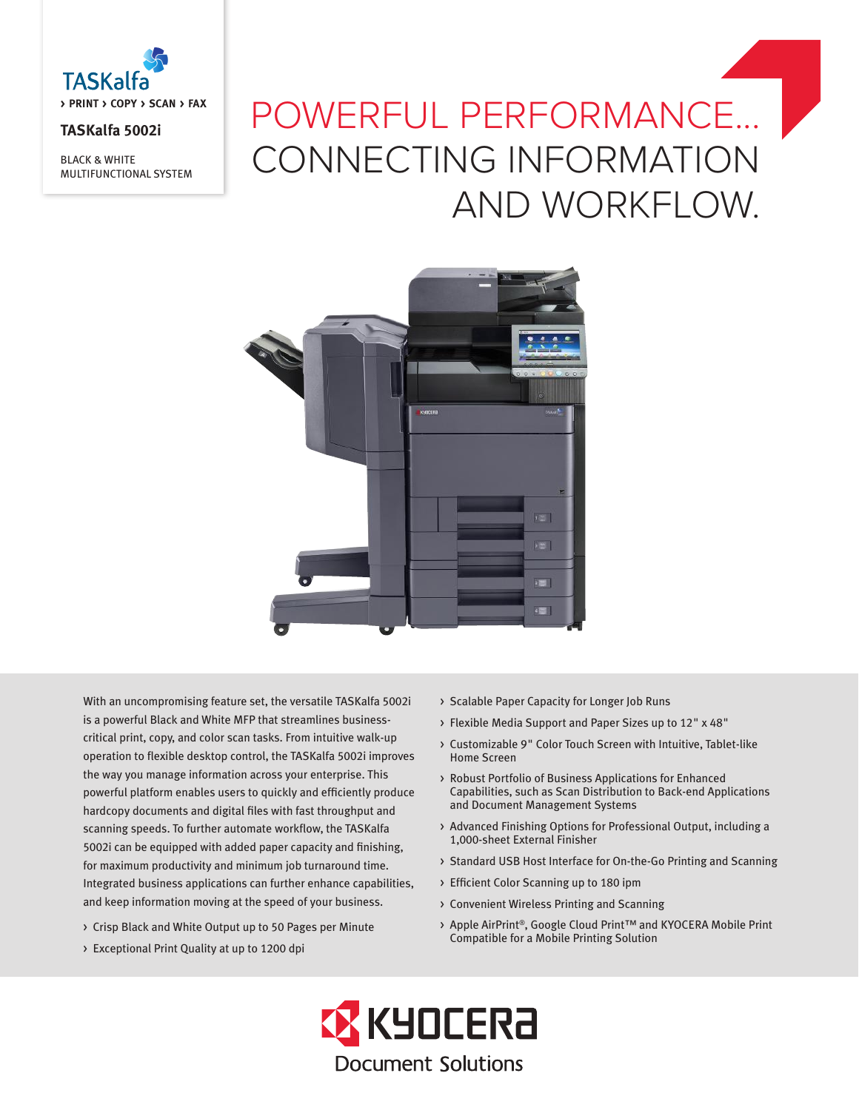

# **TASKalfa 5002i**

BLACK & WHITE MULTIFUNCTIONAL SYSTEM

# POWERFUL PERFORMANCE... CONNECTING INFORMATION AND WORKFLOW.



With an uncompromising feature set, the versatile TASKalfa 5002i is a powerful Black and White MFP that streamlines businesscritical print, copy, and color scan tasks. From intuitive walk-up operation to flexible desktop control, the TASKalfa 5002i improves the way you manage information across your enterprise. This powerful platform enables users to quickly and efficiently produce hardcopy documents and digital files with fast throughput and scanning speeds. To further automate workflow, the TASKalfa 5002i can be equipped with added paper capacity and finishing, for maximum productivity and minimum job turnaround time. Integrated business applications can further enhance capabilities, and keep information moving at the speed of your business.

- > Crisp Black and White Output up to 50 Pages per Minute
- > Exceptional Print Quality at up to 1200 dpi
- > Scalable Paper Capacity for Longer Job Runs
- > Flexible Media Support and Paper Sizes up to 12" x 48"
- > Customizable 9" Color Touch Screen with Intuitive, Tablet-like Home Screen
- > Robust Portfolio of Business Applications for Enhanced Capabilities, such as Scan Distribution to Back-end Applications and Document Management Systems
- > Advanced Finishing Options for Professional Output, including a 1,000-sheet External Finisher
- > Standard USB Host Interface for On-the-Go Printing and Scanning
- > Efficient Color Scanning up to 180 ipm
- > Convenient Wireless Printing and Scanning
- > Apple AirPrint®, Google Cloud Print™ and KYOCERA Mobile Print Compatible for a Mobile Printing Solution